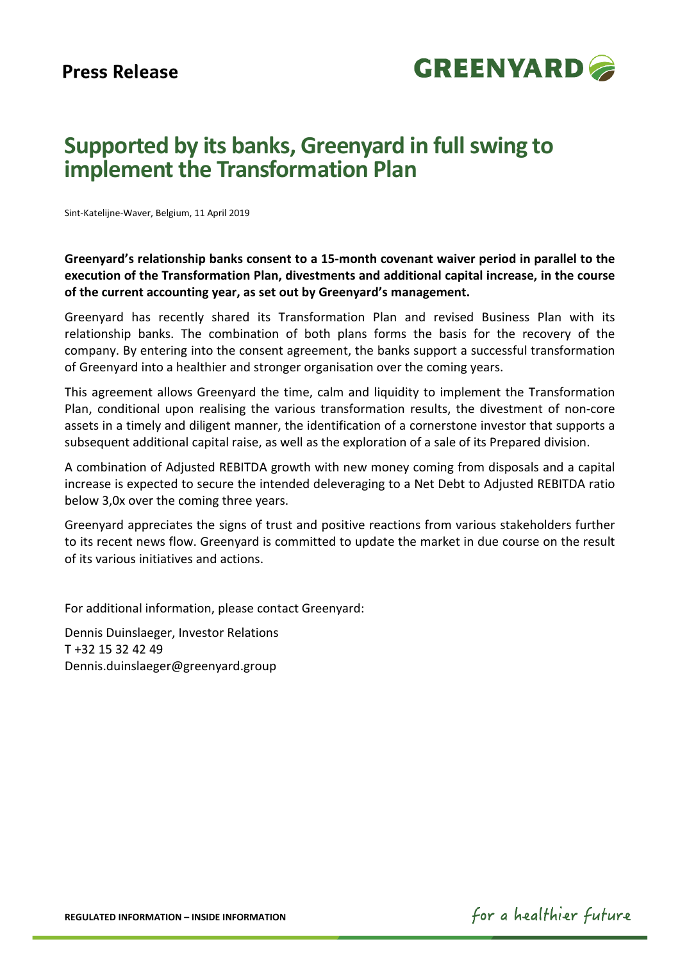

# **Supported by its banks, Greenyard in full swing to implement the Transformation Plan**

Sint-Katelijne-Waver, Belgium, 11 April 2019

**Greenyard's relationship banks consent to a 15-month covenant waiver period in parallel to the execution of the Transformation Plan, divestments and additional capital increase, in the course of the current accounting year, as set out by Greenyard's management.** 

Greenyard has recently shared its Transformation Plan and revised Business Plan with its relationship banks. The combination of both plans forms the basis for the recovery of the company. By entering into the consent agreement, the banks support a successful transformation of Greenyard into a healthier and stronger organisation over the coming years.

This agreement allows Greenyard the time, calm and liquidity to implement the Transformation Plan, conditional upon realising the various transformation results, the divestment of non-core assets in a timely and diligent manner, the identification of a cornerstone investor that supports a subsequent additional capital raise, as well as the exploration of a sale of its Prepared division.

A combination of Adjusted REBITDA growth with new money coming from disposals and a capital increase is expected to secure the intended deleveraging to a Net Debt to Adjusted REBITDA ratio below 3,0x over the coming three years.

Greenyard appreciates the signs of trust and positive reactions from various stakeholders further to its recent news flow. Greenyard is committed to update the market in due course on the result of its various initiatives and actions.

For additional information, please contact Greenyard:

Dennis Duinslaeger, Investor Relations T +32 15 32 42 49 Dennis.duinslaeger@greenyard.group

**REGULATED INFORMATION – INSIDE INFORMATION** 

for a healthier future